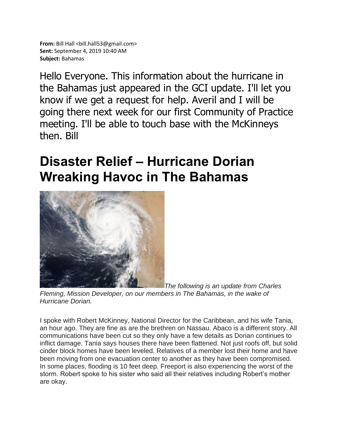Hello Everyone. This information about the hurricane in the Bahamas just appeared in the GCI update. I'll let you know if we get a request for help. Averil and I will be going there next week for our first Community of Practice meeting. I'll be able to touch base with the McKinneys then. Bill

## **Disaster Relief – Hurricane Dorian Wreaking Havoc in The Bahamas**



*The following is an update from Charles Fleming, Mission Developer, on our members in The Bahamas, in the wake of Hurricane Dorian.*

I spoke with Robert McKinney, National Director for the Caribbean, and his wife Tania, an hour ago. They are fine as are the brethren on Nassau. Abaco is a different story. All communications have been cut so they only have a few details as Dorian continues to inflict damage. Tania says houses there have been flattened. Not just roofs off, but solid cinder block homes have been leveled. Relatives of a member lost their home and have been moving from one evacuation center to another as they have been compromised. In some places, flooding is 10 feet deep. Freeport is also experiencing the worst of the storm. Robert spoke to his sister who said all their relatives including Robert's mother are okay.